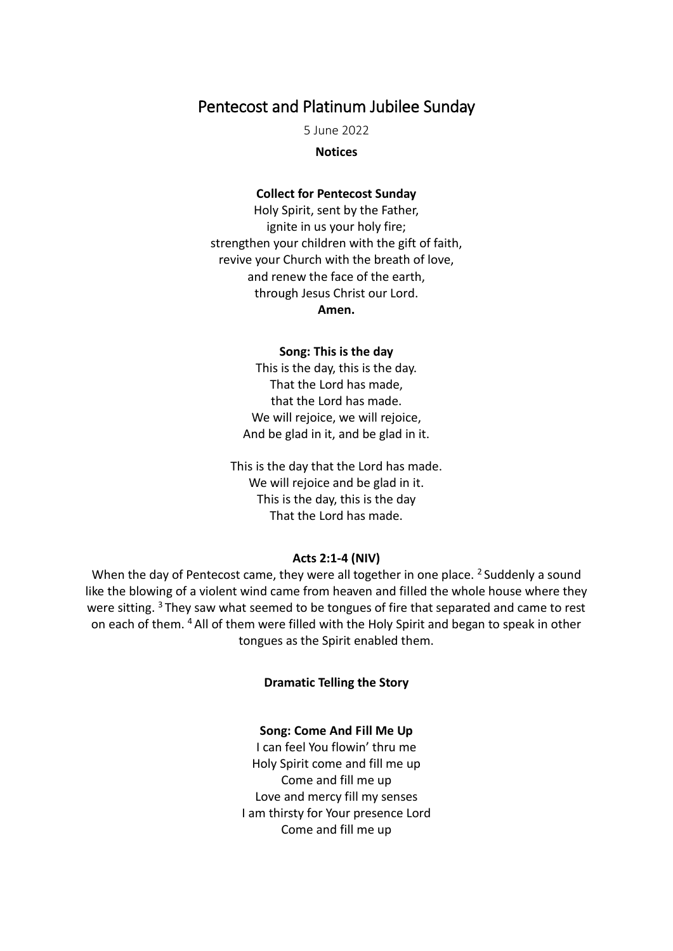# Pentecost and Platinum Jubilee Sunday

5 June 2022

#### **Notices**

## **Collect for Pentecost Sunday**

Holy Spirit, sent by the Father, ignite in us your holy fire; strengthen your children with the gift of faith, revive your Church with the breath of love, and renew the face of the earth, through Jesus Christ our Lord. **Amen.**

#### **Song: This is the day**

This is the day, this is the day. That the Lord has made, that the Lord has made. We will rejoice, we will rejoice. And be glad in it, and be glad in it.

This is the day that the Lord has made. We will rejoice and be glad in it. This is the day, this is the day That the Lord has made.

#### **Acts 2:1-4 (NIV)**

When the day of Pentecost came, they were all together in one place. <sup>2</sup> Suddenly a sound like the blowing of a violent wind came from heaven and filled the whole house where they were sitting. <sup>3</sup> They saw what seemed to be tongues of fire that separated and came to rest on each of them. <sup>4</sup> All of them were filled with the Holy Spirit and began to speak in other tongues as the Spirit enabled them.

#### **Dramatic Telling the Story**

## **Song: Come And Fill Me Up**

I can feel You flowin' thru me Holy Spirit come and fill me up Come and fill me up Love and mercy fill my senses I am thirsty for Your presence Lord Come and fill me up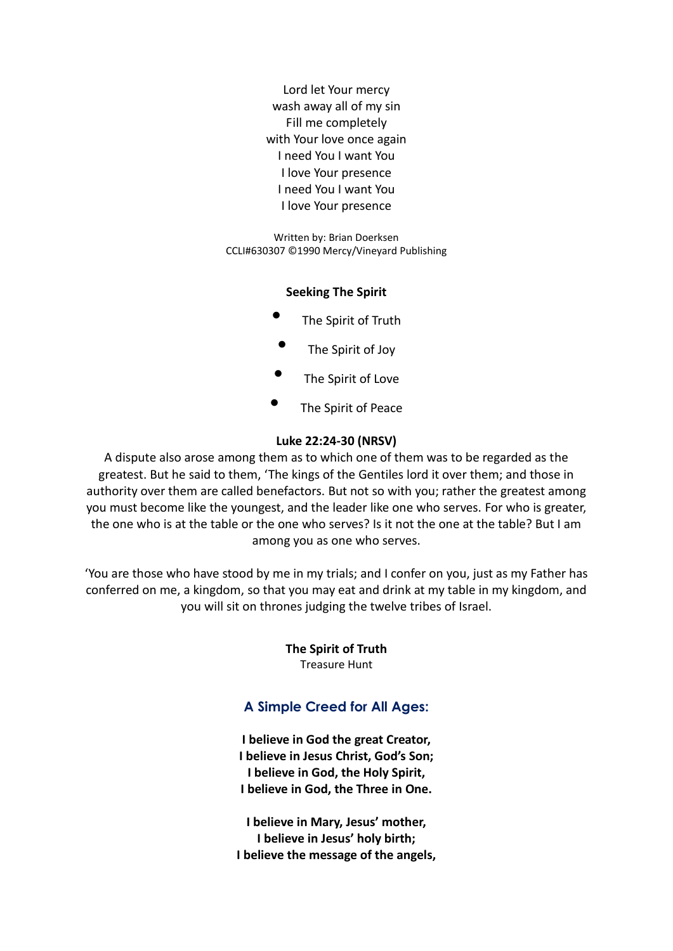Lord let Your mercy wash away all of my sin Fill me completely with Your love once again I need You I want You I love Your presence I need You I want You I love Your presence

Written by: Brian Doerksen CCLI#630307 ©1990 Mercy/Vineyard Publishing

# **Seeking The Spirit**

- The Spirit of Truth
- The Spirit of Joy
- The Spirit of Love
- The Spirit of Peace

# **Luke 22:24-30 (NRSV)**

A dispute also arose among them as to which one of them was to be regarded as the greatest. But he said to them, 'The kings of the Gentiles lord it over them; and those in authority over them are called benefactors. But not so with you; rather the greatest among you must become like the youngest, and the leader like one who serves. For who is greater, the one who is at the table or the one who serves? Is it not the one at the table? But I am among you as one who serves.

'You are those who have stood by me in my trials; and I confer on you, just as my Father has conferred on me, a kingdom, so that you may eat and drink at my table in my kingdom, and you will sit on thrones judging the twelve tribes of Israel.

> **The Spirit of Truth** Treasure Hunt

# **A Simple Creed for All Ages:**

**I believe in God the great Creator, I believe in Jesus Christ, God's Son; I believe in God, the Holy Spirit, I believe in God, the Three in One.**

**I believe in Mary, Jesus' mother, I believe in Jesus' holy birth; I believe the message of the angels,**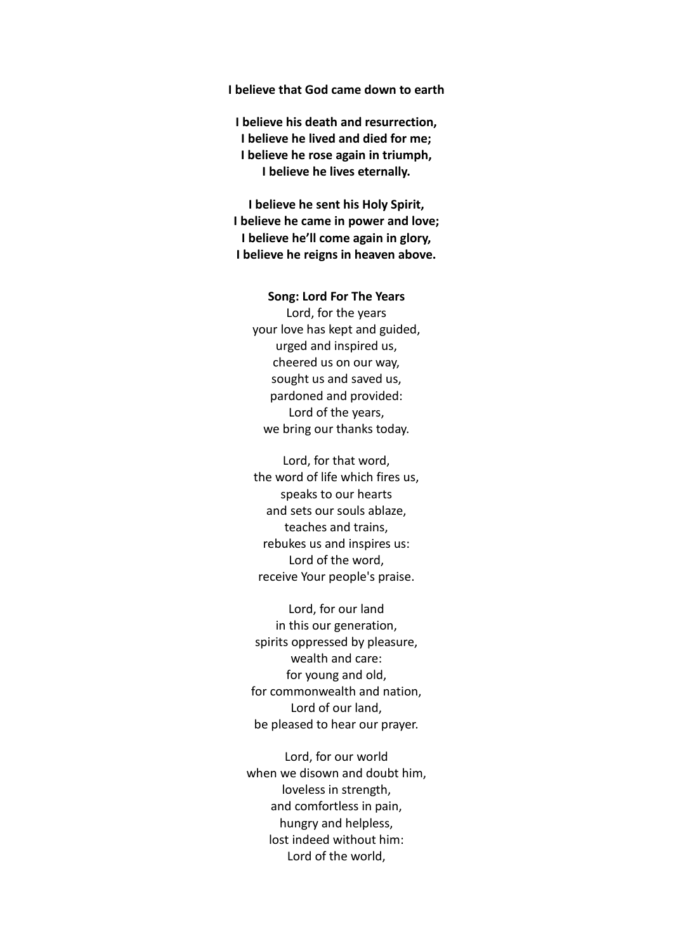# **I believe that God came down to earth**

**I believe his death and resurrection, I believe he lived and died for me; I believe he rose again in triumph, I believe he lives eternally.**

**I believe he sent his Holy Spirit, I believe he came in power and love; I believe he'll come again in glory, I believe he reigns in heaven above.**

# **Song: Lord For The Years** Lord, for the years your love has kept and guided, urged and inspired us, cheered us on our way, sought us and saved us, pardoned and provided: Lord of the years, we bring our thanks today.

Lord, for that word, the word of life which fires us, speaks to our hearts and sets our souls ablaze, teaches and trains, rebukes us and inspires us: Lord of the word, receive Your people's praise.

Lord, for our land in this our generation, spirits oppressed by pleasure, wealth and care: for young and old, for commonwealth and nation, Lord of our land, be pleased to hear our prayer.

Lord, for our world when we disown and doubt him, loveless in strength, and comfortless in pain, hungry and helpless, lost indeed without him: Lord of the world,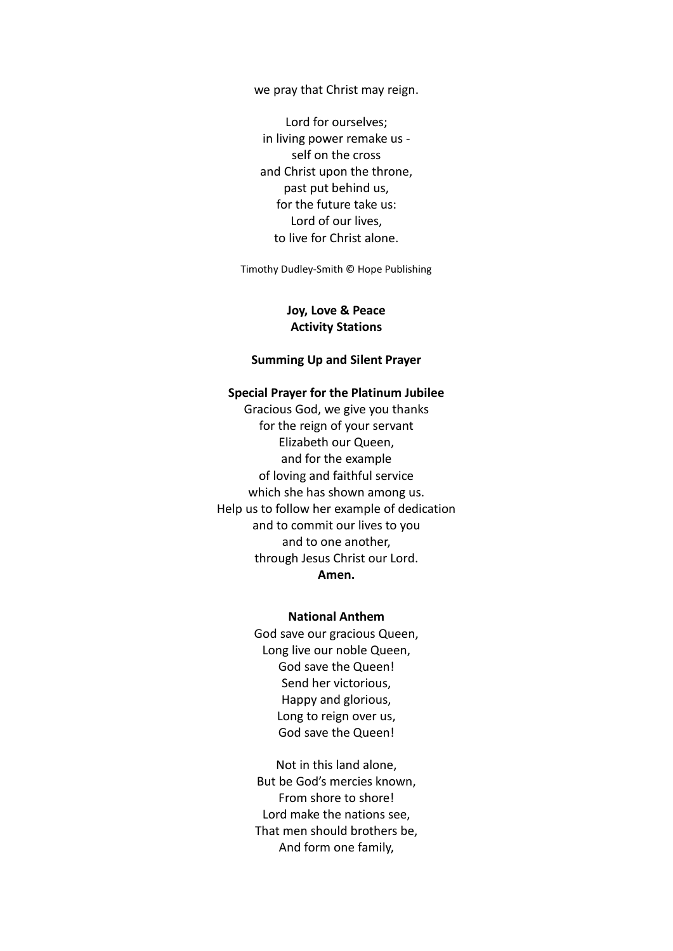we pray that Christ may reign.

Lord for ourselves; in living power remake us self on the cross and Christ upon the throne, past put behind us, for the future take us: Lord of our lives, to live for Christ alone.

Timothy Dudley-Smith © Hope Publishing

# **Joy, Love & Peace Activity Stations**

## **Summing Up and Silent Prayer**

### **Special Prayer for the Platinum Jubilee**

Gracious God, we give you thanks for the reign of your servant Elizabeth our Queen, and for the example of loving and faithful service which she has shown among us. Help us to follow her example of dedication and to commit our lives to you and to one another, through Jesus Christ our Lord. **Amen.**

# **National Anthem**

God save our gracious Queen, Long live our noble Queen, God save the Queen! Send her victorious, Happy and glorious, Long to reign over us, God save the Queen!

Not in this land alone, But be God's mercies known, From shore to shore! Lord make the nations see, That men should brothers be, And form one family,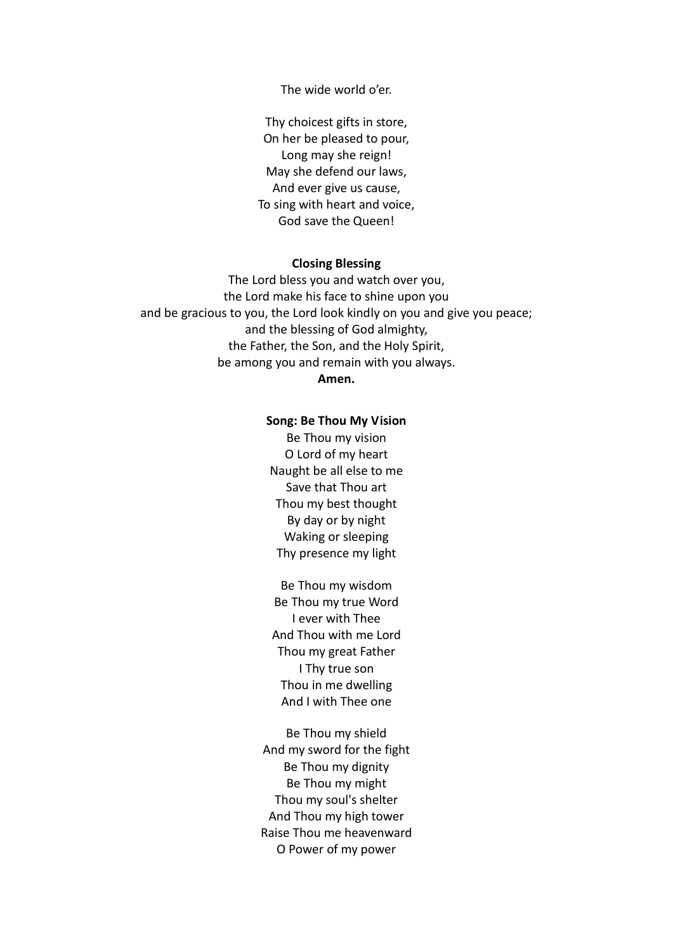The wide world o'er.

Thy choicest gifts in store, On her be pleased to pour, Long may she reign! May she defend our laws, And ever give us cause, To sing with heart and voice, God save the Queen!

#### **Closing Blessing**

The Lord bless you and watch over you, the Lord make his face to shine upon you and be gracious to you, the Lord look kindly on you and give you peace; and the blessing of God almighty, the Father, the Son, and the Holy Spirit, be among you and remain with you always.

# **Amen.**

#### **Song: Be Thou My Vision**

Be Thou my vision O Lord of my heart Naught be all else to me Save that Thou art Thou my best thought By day or by night Waking or sleeping Thy presence my light

Be Thou my wisdom Be Thou my true Word I ever with Thee And Thou with me Lord Thou my great Father I Thy true son Thou in me dwelling And I with Thee one

Be Thou my shield And my sword for the fight Be Thou my dignity Be Thou my might Thou my soul's shelter And Thou my high tower Raise Thou me heavenward O Power of my power